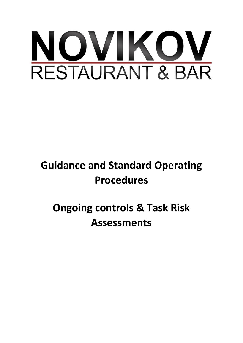

# **Guidance and Standard Operating Procedures**

**Ongoing controls & Task Risk Assessments**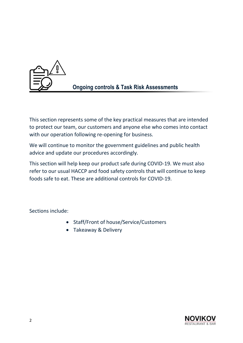

This section represents some of the key practical measures that are intended to protect our team, our customers and anyone else who comes into contact with our operation following re-opening for business.

We will continue to monitor the government guidelines and public health advice and update our procedures accordingly.

This section will help keep our product safe during COVID-19. We must also refer to our usual HACCP and food safety controls that will continue to keep foods safe to eat. These are additional controls for COVID-19.

Sections include:

- Staff/Front of house/Service/Customers
- Takeaway & Delivery

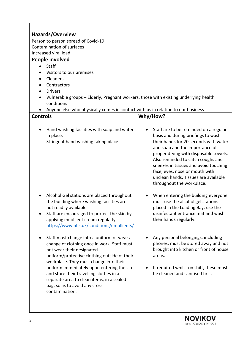|                                                                                                    | Hazards/Overview                                                              |  |  |  |
|----------------------------------------------------------------------------------------------------|-------------------------------------------------------------------------------|--|--|--|
| Person to person spread of Covid-19                                                                |                                                                               |  |  |  |
| Contamination of surfaces<br>Increased viral load                                                  |                                                                               |  |  |  |
| People involved                                                                                    |                                                                               |  |  |  |
| Staff                                                                                              |                                                                               |  |  |  |
| Visitors to our premises                                                                           |                                                                               |  |  |  |
| Cleaners                                                                                           |                                                                               |  |  |  |
| Contractors                                                                                        |                                                                               |  |  |  |
| <b>Drivers</b>                                                                                     |                                                                               |  |  |  |
| Vulnerable groups - Elderly, Pregnant workers, those with existing underlying health<br>conditions |                                                                               |  |  |  |
| Anyone else who physically comes in contact with us in relation to our business                    |                                                                               |  |  |  |
| <b>Controls</b>                                                                                    | Why/How?                                                                      |  |  |  |
|                                                                                                    |                                                                               |  |  |  |
| Hand washing facilities with soap and water<br>$\bullet$                                           | Staff are to be reminded on a regular<br>$\bullet$                            |  |  |  |
| in place.                                                                                          | basis and during briefings to wash                                            |  |  |  |
| Stringent hand washing taking place.                                                               | their hands for 20 seconds with water                                         |  |  |  |
|                                                                                                    | and soap and the importance of                                                |  |  |  |
|                                                                                                    | proper drying with disposable towels.                                         |  |  |  |
|                                                                                                    | Also reminded to catch coughs and                                             |  |  |  |
|                                                                                                    | sneezes in tissues and avoid touching<br>face, eyes, nose or mouth with       |  |  |  |
|                                                                                                    | unclean hands. Tissues are available                                          |  |  |  |
|                                                                                                    | throughout the workplace.                                                     |  |  |  |
|                                                                                                    |                                                                               |  |  |  |
| Alcohol Gel stations are placed throughout                                                         | When entering the building everyone                                           |  |  |  |
| the building where washing facilities are                                                          | must use the alcohol gel stations                                             |  |  |  |
| not readily available                                                                              | placed in the Loading Bay, use the                                            |  |  |  |
| Staff are encouraged to protect the skin by                                                        | disinfectant entrance mat and wash                                            |  |  |  |
| applying emollient cream regularly                                                                 | their hands regularly.                                                        |  |  |  |
| https://www.nhs.uk/conditions/emollients/                                                          |                                                                               |  |  |  |
|                                                                                                    |                                                                               |  |  |  |
| Staff must change into a uniform or wear a                                                         | Any personal belongings, including                                            |  |  |  |
| change of clothing once in work. Staff must                                                        | phones, must be stored away and not<br>brought into kitchen or front of house |  |  |  |
| not wear their designated<br>uniform/protective clothing outside of their                          | areas.                                                                        |  |  |  |
| workplace. They must change into their                                                             |                                                                               |  |  |  |
| uniform immediately upon entering the site                                                         | If required whilst on shift, these must                                       |  |  |  |
| and store their travelling clothes in a                                                            | be cleaned and sanitised first.                                               |  |  |  |
| separate area to clean items, in a sealed                                                          |                                                                               |  |  |  |
| bag, so as to avoid any cross                                                                      |                                                                               |  |  |  |
| contamination.                                                                                     |                                                                               |  |  |  |
|                                                                                                    |                                                                               |  |  |  |

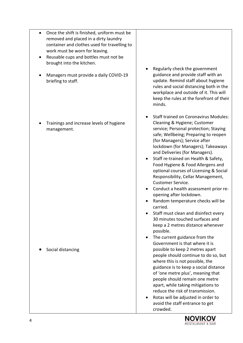| Once the shift is finished, uniform must be<br>$\bullet$<br>removed and placed in a dirty laundry<br>container and clothes used for travelling to<br>work must be worn for leaving.<br>Reusable cups and bottles must not be<br>brought into the kitchen.<br>Managers must provide a daily COVID-19<br>briefing to staff. | Regularly check the government<br>guidance and provide staff with an<br>update. Remind staff about hygiene<br>rules and social distancing both in the<br>workplace and outside of it. This will<br>keep the rules at the forefront of their<br>minds.                                                                                                                                                                                                                                                                                                                                                                                                                                                                                              |
|---------------------------------------------------------------------------------------------------------------------------------------------------------------------------------------------------------------------------------------------------------------------------------------------------------------------------|----------------------------------------------------------------------------------------------------------------------------------------------------------------------------------------------------------------------------------------------------------------------------------------------------------------------------------------------------------------------------------------------------------------------------------------------------------------------------------------------------------------------------------------------------------------------------------------------------------------------------------------------------------------------------------------------------------------------------------------------------|
| Trainings and increase levels of hygiene<br>management.                                                                                                                                                                                                                                                                   | <b>Staff trained on Coronavirus Modules:</b><br>Cleaning & Hygiene; Customer<br>service; Personal protection; Staying<br>safe; Wellbeing; Preparing to reopen<br>(for Managers); Service after<br>lockdown (for Managers); Takeaways<br>and Deliveries (for Managers).<br>Staff re-trained on Health & Safety,<br>Food Hygiene & Food Allergens and<br>optional courses of Licensing & Social<br>Responsibility, Cellar Management,<br><b>Customer Service.</b><br>Conduct a health assessment prior re-<br>opening after lockdown.<br>Random temperature checks will be<br>carried.<br>Staff must clean and disinfect every<br>30 minutes touched surfaces and<br>keep a 2 metres distance whenever<br>possible.<br>The current guidance from the |
| Social distancing                                                                                                                                                                                                                                                                                                         | Government is that where it is<br>possible to keep 2 metres apart<br>people should continue to do so, but<br>where this is not possible, the<br>guidance is to keep a social distance<br>of 'one metre plus', meaning that<br>people should remain one metre<br>apart, while taking mitigations to<br>reduce the risk of transmission.<br>Rotas will be adjusted in order to<br>avoid the staff entrance to get<br>crowded.                                                                                                                                                                                                                                                                                                                        |

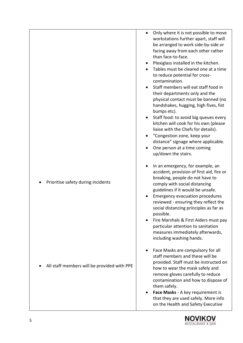|                                             | Only where it is not possible to move<br>workstations further apart, staff will<br>be arranged to work side-by-side or<br>facing away from each other rather<br>than face-to-face.<br>Plexiglass installed in the kitchen.<br>Tables must be cleared one at a time<br>$\bullet$<br>to reduce potential for cross-<br>contamination.<br>Staff members will eat staff food in<br>their departments only and the<br>physical contact must be banned (no<br>handshakes, hugging, high fives, fist<br>bumps etc).<br>Staff food: to avoid big queues every<br>kitchen will cook for his own (please<br>liaise with the Chefs for details).<br>"Congestion zone, keep your<br>distance" signage where applicable.<br>One person at a time coming<br>up/down the stairs. |
|---------------------------------------------|-------------------------------------------------------------------------------------------------------------------------------------------------------------------------------------------------------------------------------------------------------------------------------------------------------------------------------------------------------------------------------------------------------------------------------------------------------------------------------------------------------------------------------------------------------------------------------------------------------------------------------------------------------------------------------------------------------------------------------------------------------------------|
| Prioritise safety during incidents          | In an emergency, for example, an<br>accident, provision of first aid, fire or<br>breaking, people do not have to<br>comply with social distancing<br>guidelines if it would be unsafe.<br><b>Emergency evacuation procedures</b><br>reviewed - ensuring they reflect the<br>social distancing principles as far as<br>possible.<br>Fire Marshals & First Aiders must pay<br>particular attention to sanitation<br>measures immediately afterwards,<br>including washing hands.                                                                                                                                                                                                                                                                                    |
| All staff members will be provided with PPE | Face Masks are compulsory for all<br>staff members and these will be<br>provided. Staff must be instructed on<br>how to wear the mask safely and<br>remove gloves carefully to reduce<br>contamination and how to dispose of<br>them safely.<br>Face Masks - A key requirement is<br>that they are used safely. More info<br>on the Health and Safety Executive                                                                                                                                                                                                                                                                                                                                                                                                   |

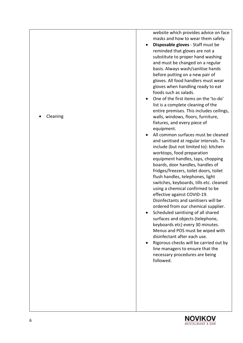website which provides advice on face masks and how to wear them safely.

- **Disposable gloves** Staff must be reminded that gloves are not a substitute to proper hand washing and must be changed on a regular basis. Always wash/sanitise hands before putting on a new pair of gloves. All food handlers must wear gloves when handling ready to eat foods such as salads.
- One of the first items on the 'to -do' list is a complete cleaning of the entire premises. This includes ceilings, walls, windows, floors, furniture, fixtures, and every piece of equipment.
- All common surfaces must be cleaned and sanitised at regular intervals. To include (but not limited to): kitchen worktops, food preparation equipment handles, taps, chopping boards, door handles, handles of fridges/freezers, toilet doors, toilet flush handles, telephones, light switches, keyboards, tills etc. cleaned using a chemical confirmed to be effective against COVID -19. Disinfectants and sanitisers will be ordered from our chemical supplier .
- Scheduled sanitising of all shared surfaces and objects (telephone, keyboards etc) every 30 minutes. Menus and POS must be wiped with disinfectant after each use.
- Rigorous checks will be carried out by line managers to ensure that the necessary procedures are being followed.



• Cleaning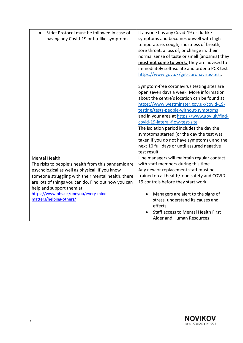| Strict Protocol must be followed in case of<br>$\bullet$<br>having any Covid-19 or flu-like symptoms                                                                                                                                                                                                                                       | If anyone has any Covid-19 or flu-like<br>symptoms and becomes unwell with high<br>temperature, cough, shortness of breath,<br>sore throat, a loss of, or change in, their<br>normal sense of taste or smell (anosmia) they<br>must not come to work. They are advised to<br>immediately self-isolate and order a PCR test<br>https://www.gov.uk/get-coronavirus-test.                                                                                                                                                 |
|--------------------------------------------------------------------------------------------------------------------------------------------------------------------------------------------------------------------------------------------------------------------------------------------------------------------------------------------|------------------------------------------------------------------------------------------------------------------------------------------------------------------------------------------------------------------------------------------------------------------------------------------------------------------------------------------------------------------------------------------------------------------------------------------------------------------------------------------------------------------------|
|                                                                                                                                                                                                                                                                                                                                            | Symptom-free coronavirus testing sites are<br>open seven days a week. More information<br>about the centre's location can be found at:<br>https://www.westminster.gov.uk/covid-19-<br>testing/tests-people-without-symptoms<br>and in your area at https://www.gov.uk/find-<br>covid-19-lateral-flow-test-site<br>The isolation period includes the day the<br>symptoms started (or the day the test was<br>taken if you do not have symptoms), and the<br>next 10 full days or until assured negative<br>test result. |
| <b>Mental Health</b><br>The risks to people's health from this pandemic are<br>psychological as well as physical. If you know<br>someone struggling with their mental health, there<br>are lots of things you can do. Find out how you can<br>help and support them at<br>https://www.nhs.uk/oneyou/every-mind-<br>matters/helping-others/ | Line managers will maintain regular contact<br>with staff members during this time.<br>Any new or replacement staff must be<br>trained on all health/food safety and COVID-<br>19 controls before they start work.<br>Managers are alert to the signs of<br>stress, understand its causes and<br>effects.                                                                                                                                                                                                              |
|                                                                                                                                                                                                                                                                                                                                            | Staff access to Mental Health First<br>Aider and Human Resources                                                                                                                                                                                                                                                                                                                                                                                                                                                       |

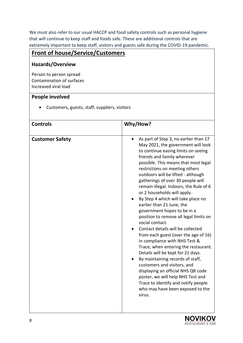We must also refer to our usual HACCP and food safety controls such as personal hygiene that will continue to keep staff and foods safe. These are additional controls that are extremely important to keep staff, visitors and guests safe during the COVID-19 pandemic.

# **Front of house/Service/Customers**

#### **Hazards/Overview**

Person to person spread Contamination of surfaces Increased viral load

#### **People involved**

• Customers, guests, staff, suppliers, visitors

| <b>Controls</b>        | Why/How?                                                                                                                                                                                                                                                                                                                                                                                                                                                                                                                                                                                                                                                                                                                                                                                                                                                                                                                                                                     |
|------------------------|------------------------------------------------------------------------------------------------------------------------------------------------------------------------------------------------------------------------------------------------------------------------------------------------------------------------------------------------------------------------------------------------------------------------------------------------------------------------------------------------------------------------------------------------------------------------------------------------------------------------------------------------------------------------------------------------------------------------------------------------------------------------------------------------------------------------------------------------------------------------------------------------------------------------------------------------------------------------------|
| <b>Customer Safety</b> | As part of Step 3, no earlier than 17<br>May 2021, the government will look<br>to continue easing limits on seeing<br>friends and family wherever<br>possible. This means that most legal<br>restrictions on meeting others<br>outdoors will be lifted - although<br>gatherings of over 30 people will<br>remain illegal. Indoors, the Rule of 6<br>or 2 households will apply.<br>By Step 4 which will take place no<br>earlier than 21 June, the<br>government hopes to be in a<br>position to remove all legal limits on<br>social contact.<br>Contact details will be collected<br>from each guest (over the age of 16)<br>in compliance with NHS Test &<br>Trace, when entering the restaurant.<br>Details will be kept for 21 days.<br>By maintaining records of staff,<br>customers and visitors, and<br>displaying an official NHS QR code<br>poster, we will help NHS Test and<br>Trace to identify and notify people<br>who may have been exposed to the<br>virus. |

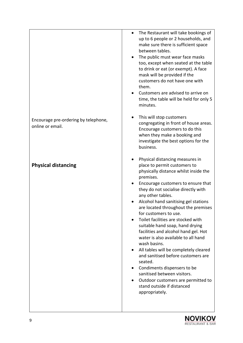|                                                          | The Restaurant will take bookings of<br>$\bullet$<br>up to 6 people or 2 households, and<br>make sure there is sufficient space<br>between tables.<br>The public must wear face masks<br>too, except when seated at the table<br>to drink or eat (or exempt). A face<br>mask will be provided if the<br>customers do not have one with<br>them.<br>Customers are advised to arrive on<br>time, the table will be held for only 5<br>minutes.                                                                                                                                                                                                                                                                                                          |
|----------------------------------------------------------|-------------------------------------------------------------------------------------------------------------------------------------------------------------------------------------------------------------------------------------------------------------------------------------------------------------------------------------------------------------------------------------------------------------------------------------------------------------------------------------------------------------------------------------------------------------------------------------------------------------------------------------------------------------------------------------------------------------------------------------------------------|
| Encourage pre-ordering by telephone,<br>online or email. | This will stop customers<br>congregating in front of house areas.<br>Encourage customers to do this<br>when they make a booking and<br>investigate the best options for the<br>business.                                                                                                                                                                                                                                                                                                                                                                                                                                                                                                                                                              |
| <b>Physical distancing</b>                               | Physical distancing measures in<br>place to permit customers to<br>physically distance whilst inside the<br>premises.<br>Encourage customers to ensure that<br>they do not socialise directly with<br>any other tables.<br>Alcohol hand sanitising gel stations<br>are located throughout the premises<br>for customers to use.<br>Toilet facilities are stocked with<br>suitable hand soap, hand drying<br>facilities and alcohol hand gel. Hot<br>water is also available to all hand<br>wash basins.<br>All tables will be completely cleared<br>and sanitised before customers are<br>seated.<br>Condiments dispensers to be<br>sanitised between visitors.<br>Outdoor customers are permitted to<br>stand outside if distanced<br>appropriately. |



I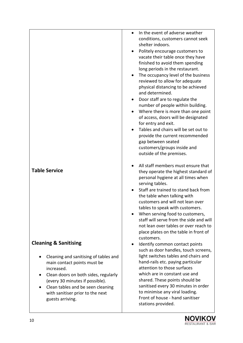| <b>Table Service</b>                                                                                                                                                                                                                                                                                | In the event of adverse weather<br>conditions, customers cannot seek<br>shelter indoors.<br>Politely encourage customers to<br>vacate their table once they have<br>finished to avoid them spending<br>long periods in the restaurant.<br>The occupancy level of the business<br>٠<br>reviewed to allow for adequate<br>physical distancing to be achieved<br>and determined.<br>Door staff are to regulate the<br>number of people within building.<br>Where there is more than one point<br>of access, doors will be designated<br>for entry and exit.<br>Tables and chairs will be set out to<br>provide the current recommended<br>gap between seated<br>customers/groups inside and<br>outside of the premises.<br>All staff members must ensure that<br>they operate the highest standard of<br>personal hygiene at all times when<br>serving tables.<br>Staff are trained to stand back from<br>the table when talking with<br>customers and will not lean over<br>tables to speak with customers. |
|-----------------------------------------------------------------------------------------------------------------------------------------------------------------------------------------------------------------------------------------------------------------------------------------------------|-----------------------------------------------------------------------------------------------------------------------------------------------------------------------------------------------------------------------------------------------------------------------------------------------------------------------------------------------------------------------------------------------------------------------------------------------------------------------------------------------------------------------------------------------------------------------------------------------------------------------------------------------------------------------------------------------------------------------------------------------------------------------------------------------------------------------------------------------------------------------------------------------------------------------------------------------------------------------------------------------------------|
|                                                                                                                                                                                                                                                                                                     | When serving food to customers,<br>staff will serve from the side and will<br>not lean over tables or over reach to<br>place plates on the table in front of<br>customers.                                                                                                                                                                                                                                                                                                                                                                                                                                                                                                                                                                                                                                                                                                                                                                                                                                |
| <b>Cleaning &amp; Sanitising</b><br>Cleaning and sanitising of tables and<br>main contact points must be<br>increased.<br>Clean doors on both sides, regularly<br>٠<br>(every 30 minutes if possible).<br>Clean tables and be seen cleaning<br>with sanitiser prior to the next<br>guests arriving. | Identify common contact points<br>such as door handles, touch screens,<br>light switches tables and chairs and<br>hand-rails etc. paying particular<br>attention to those surfaces<br>which are in constant use and<br>shared. These points should be<br>sanitised every 30 minutes in order<br>to minimise any viral loading.<br>Front of house - hand sanitiser<br>stations provided.                                                                                                                                                                                                                                                                                                                                                                                                                                                                                                                                                                                                                   |

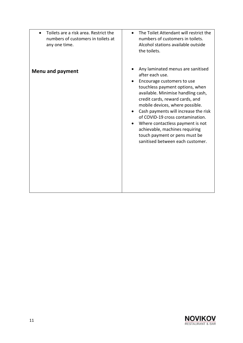| Toilets are a risk area. Restrict the               | The Toilet Attendant will restrict the                                                                                                                                                                                                                                                                                                                                                                                                                                |
|-----------------------------------------------------|-----------------------------------------------------------------------------------------------------------------------------------------------------------------------------------------------------------------------------------------------------------------------------------------------------------------------------------------------------------------------------------------------------------------------------------------------------------------------|
| numbers of customers in toilets at<br>any one time. | numbers of customers in toilets.<br>Alcohol stations available outside<br>the toilets.                                                                                                                                                                                                                                                                                                                                                                                |
| Menu and payment                                    | Any laminated menus are sanitised<br>after each use.<br>Encourage customers to use<br>touchless payment options, when<br>available. Minimise handling cash,<br>credit cards, reward cards, and<br>mobile devices, where possible.<br>Cash payments will increase the risk<br>of COVID-19 cross contamination.<br>Where contactless payment is not<br>$\bullet$<br>achievable, machines requiring<br>touch payment or pens must be<br>sanitised between each customer. |

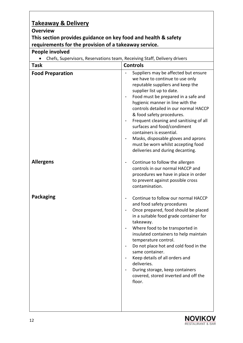# **Takeaway & Delivery**

### **Overview**

#### **This section provides guidance on key food and health & safety requirements for the provision of a takeaway service.**

## **People involved**

|  |  |  | Chefs, Supervisors, Reservations team, Receiving Staff, Delivery drivers |  |  |
|--|--|--|--------------------------------------------------------------------------|--|--|
|--|--|--|--------------------------------------------------------------------------|--|--|

| <b>Task</b>             | <b>Controls</b>                                                                                                                                                                                                                                                                                                                                                                                                                                                                                                  |
|-------------------------|------------------------------------------------------------------------------------------------------------------------------------------------------------------------------------------------------------------------------------------------------------------------------------------------------------------------------------------------------------------------------------------------------------------------------------------------------------------------------------------------------------------|
| <b>Food Preparation</b> | Suppliers may be affected but ensure<br>we have to continue to use only<br>reputable suppliers and keep the<br>supplier list up to date.<br>Food must be prepared in a safe and<br>hygienic manner in line with the<br>controls detailed in our normal HACCP<br>& food safety procedures.<br>Frequent cleaning and sanitising of all<br>surfaces and food/condiment<br>containers is essential.<br>Masks, disposable gloves and aprons<br>must be worn whilst accepting food<br>deliveries and during decanting. |
| <b>Allergens</b>        | Continue to follow the allergen<br>controls in our normal HACCP and<br>procedures we have in place in order<br>to prevent against possible cross<br>contamination.                                                                                                                                                                                                                                                                                                                                               |
| <b>Packaging</b>        | Continue to follow our normal HACCP<br>and food safety procedures<br>Once prepared, food should be placed<br>in a suitable food grade container for<br>takeaway.<br>Where food to be transported in<br>insulated containers to help maintain<br>temperature control.<br>Do not place hot and cold food in the<br>same container.<br>Keep details of all orders and<br>deliveries.<br>During storage, keep containers<br>covered, stored inverted and off the<br>floor.                                           |